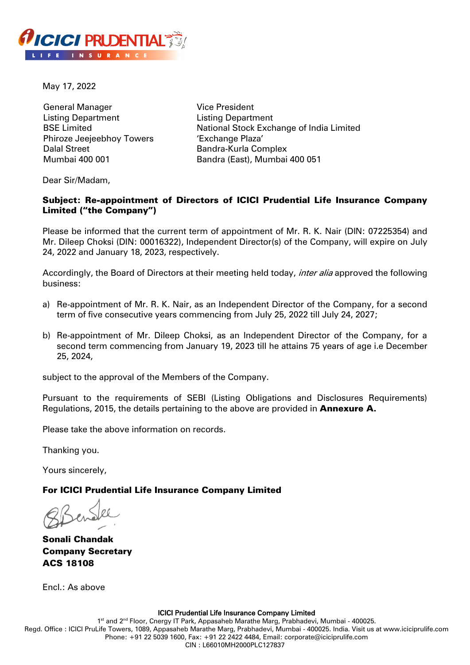

May 17, 2022

General Manager Listing Department BSE Limited Phiroze Jeejeebhoy Towers Dalal Street Mumbai 400 001

Vice President Listing Department National Stock Exchange of India Limited 'Exchange Plaza' Bandra-Kurla Complex Bandra (East), Mumbai 400 051

Dear Sir/Madam,

# Subject: Re-appointment of Directors of ICICI Prudential Life Insurance Company Limited ("the Company")

Please be informed that the current term of appointment of Mr. R. K. Nair (DIN: 07225354) and Mr. Dileep Choksi (DIN: 00016322), Independent Director(s) of the Company, will expire on July 24, 2022 and January 18, 2023, respectively.

Accordingly, the Board of Directors at their meeting held today, *inter alia* approved the following business:

- a) Re-appointment of Mr. R. K. Nair, as an Independent Director of the Company, for a second term of five consecutive years commencing from July 25, 2022 till July 24, 2027;
- b) Re-appointment of Mr. Dileep Choksi, as an Independent Director of the Company, for a second term commencing from January 19, 2023 till he attains 75 years of age i.e December 25, 2024,

subject to the approval of the Members of the Company.

Pursuant to the requirements of SEBI (Listing Obligations and Disclosures Requirements) Regulations, 2015, the details pertaining to the above are provided in **Annexure A.** 

Please take the above information on records.

Thanking you.

Yours sincerely,

#### For ICICI Prudential Life Insurance Company Limited

Sonali Chandak Company Secretary ACS 18108

Encl.: As above

ICICI Prudential Life Insurance Company Limited

1<sup>st</sup> and 2<sup>nd</sup> Floor, Cnergy IT Park, Appasaheb Marathe Marg, Prabhadevi, Mumbai - 400025. Regd. Office : ICICI PruLife Towers, 1089, Appasaheb Marathe Marg, Prabhadevi, Mumbai - 400025. India. Visit us at www.iciciprulife.com Phone: +91 22 5039 1600, Fax: +91 22 2422 4484, Email: corporate@iciciprulife.com CIN : L66010MH2000PLC127837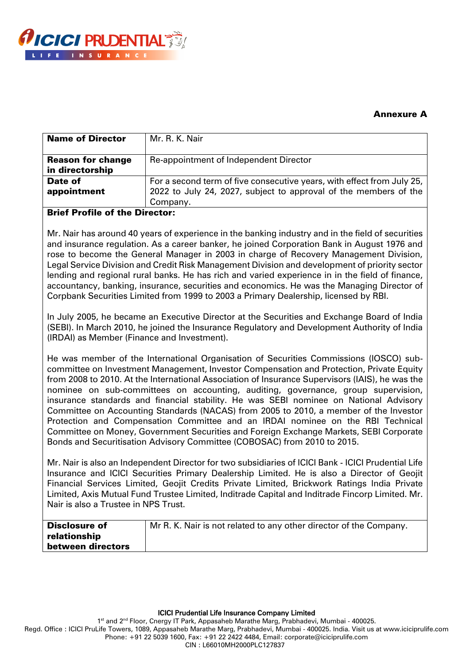

# Annexure A

| <b>Name of Director</b>                     | Mr. R. K. Nair                                                                                                                                         |
|---------------------------------------------|--------------------------------------------------------------------------------------------------------------------------------------------------------|
| <b>Reason for change</b><br>in directorship | Re-appointment of Independent Director                                                                                                                 |
| Date of<br>appointment                      | For a second term of five consecutive years, with effect from July 25,<br>2022 to July 24, 2027, subject to approval of the members of the<br>Company. |

### Brief Profile of the Director:

Mr. Nair has around 40 years of experience in the banking industry and in the field of securities and insurance regulation. As a career banker, he joined Corporation Bank in August 1976 and rose to become the General Manager in 2003 in charge of Recovery Management Division, Legal Service Division and Credit Risk Management Division and development of priority sector lending and regional rural banks. He has rich and varied experience in in the field of finance, accountancy, banking, insurance, securities and economics. He was the Managing Director of Corpbank Securities Limited from 1999 to 2003 a Primary Dealership, licensed by RBI.

In July 2005, he became an Executive Director at the Securities and Exchange Board of India (SEBI). In March 2010, he joined the Insurance Regulatory and Development Authority of India (IRDAI) as Member (Finance and Investment).

He was member of the International Organisation of Securities Commissions (IOSCO) subcommittee on Investment Management, Investor Compensation and Protection, Private Equity from 2008 to 2010. At the International Association of Insurance Supervisors (IAIS), he was the nominee on sub-committees on accounting, auditing, governance, group supervision, insurance standards and financial stability. He was SEBI nominee on National Advisory Committee on Accounting Standards (NACAS) from 2005 to 2010, a member of the Investor Protection and Compensation Committee and an IRDAI nominee on the RBI Technical Committee on Money, Government Securities and Foreign Exchange Markets, SEBI Corporate Bonds and Securitisation Advisory Committee (COBOSAC) from 2010 to 2015.

Mr. Nair is also an Independent Director for two subsidiaries of ICICI Bank - ICICI Prudential Life Insurance and ICICI Securities Primary Dealership Limited. He is also a Director of Geojit Financial Services Limited, Geojit Credits Private Limited, Brickwork Ratings India Private Limited, Axis Mutual Fund Trustee Limited, Inditrade Capital and Inditrade Fincorp Limited. Mr. Nair is also a Trustee in NPS Trust.

| <b>Disclosure of</b> | Mr R. K. Nair is not related to any other director of the Company. |
|----------------------|--------------------------------------------------------------------|
| relationship         |                                                                    |
| between directors    |                                                                    |